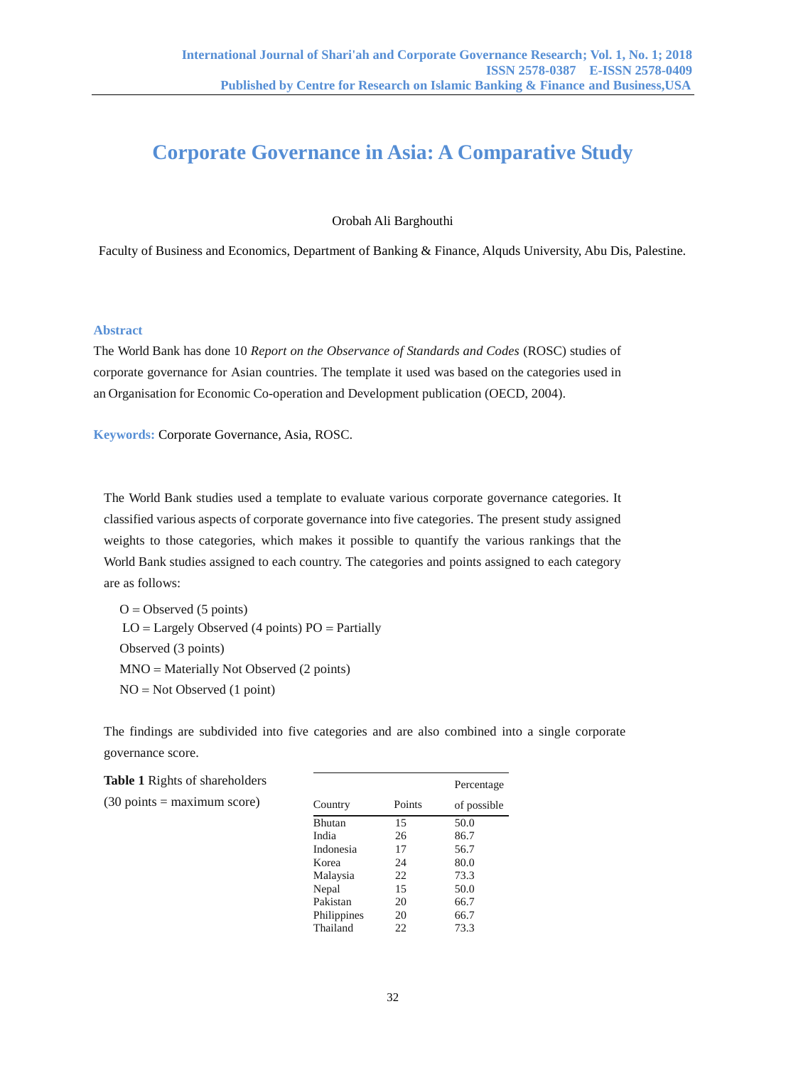# **Corporate Governance in Asia: A Comparative Study**

Orobah Ali Barghouthi

Faculty of Business and Economics, Department of Banking & Finance, Alquds University, Abu Dis, Palestine.

# **Abstract**

The World Bank has done 10 *Report on the Observance of Standards and Codes* (ROSC) studies of corporate governance for Asian countries. The template it used was based on the categories used in an Organisation for Economic Co-operation and Development publication (OECD, 2004).

**Keywords:** Corporate Governance, Asia, ROSC.

The World Bank studies used a template to evaluate various corporate governance categories. It classified various aspects of corporate governance into five categories. The present study assigned weights to those categories, which makes it possible to quantify the various rankings that the World Bank studies assigned to each country. The categories and points assigned to each category are as follows:

 $O = Observed (5 points)$  $LO =$  Largely Observed (4 points)  $PO =$  Partially Observed (3 points)  $MNO =$  Materially Not Observed (2 points)  $NO = Not Observed (1 point)$ 

The findings are subdivided into five categories and are also combined into a single corporate governance score.

| <b>Table 1</b> Rights of shareholders        |             | Percentage |             |
|----------------------------------------------|-------------|------------|-------------|
| $(30 \text{ points} = \text{maximum score})$ | Country     | Points     | of possible |
|                                              | Bhutan      | 15         | 50.0        |
|                                              | India       | 26         | 86.7        |
|                                              | Indonesia   | 17         | 56.7        |
|                                              | Korea       | 24         | 80.0        |
|                                              | Malaysia    | 22         | 73.3        |
|                                              | Nepal       | 15         | 50.0        |
|                                              | Pakistan    | 20         | 66.7        |
|                                              | Philippines | 20         | 66.7        |
|                                              | Thailand    | 22         | 73.3        |
|                                              |             |            |             |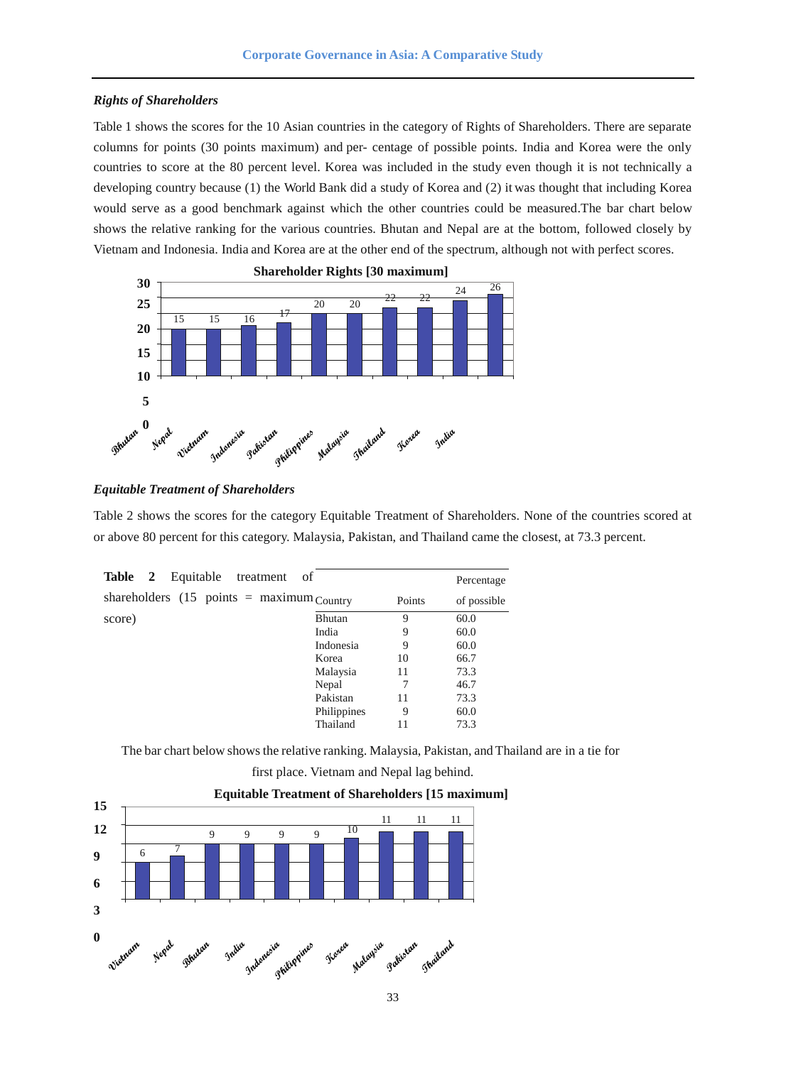#### *Rights of Shareholders*

Table 1 shows the scores for the 10 Asian countries in the category of Rights of Shareholders. There are separate columns for points (30 points maximum) and per- centage of possible points. India and Korea were the only countries to score at the 80 percent level. Korea was included in the study even though it is not technically a developing country because (1) the World Bank did a study of Korea and (2) it was thought that including Korea would serve as a good benchmark against which the other countries could be measured.The bar chart below shows the relative ranking for the various countries. Bhutan and Nepal are at the bottom, followed closely by Vietnam and Indonesia. India and Korea are at the other end of the spectrum, although not with perfect scores.



## *Equitable Treatment of Shareholders*

Table 2 shows the scores for the category Equitable Treatment of Shareholders. None of the countries scored at or above 80 percent for this category. Malaysia, Pakistan, and Thailand came the closest, at 73.3 percent.

| Table 2<br>Equitable treatment                                     | of          |        | Percentage  |
|--------------------------------------------------------------------|-------------|--------|-------------|
| shareholders $(15 \text{ points} = \text{maximum} \text{Country})$ |             | Points | of possible |
| score)                                                             | Bhutan      | 9      | 60.0        |
|                                                                    | India       | 9      | 60.0        |
|                                                                    | Indonesia   | 9      | 60.0        |
|                                                                    | Korea       | 10     | 66.7        |
|                                                                    | Malaysia    | 11     | 73.3        |
|                                                                    | Nepal       |        | 46.7        |
|                                                                    | Pakistan    | 11     | 73.3        |
|                                                                    | Philippines | 9      | 60.0        |
|                                                                    | Thailand    | 11     | 73.3        |
|                                                                    |             |        |             |

The bar chart below showsthe relative ranking. Malaysia, Pakistan, and Thailand are in a tie for

first place. Vietnam and Nepal lag behind.



## **Equitable Treatment of Shareholders [15 maximum]**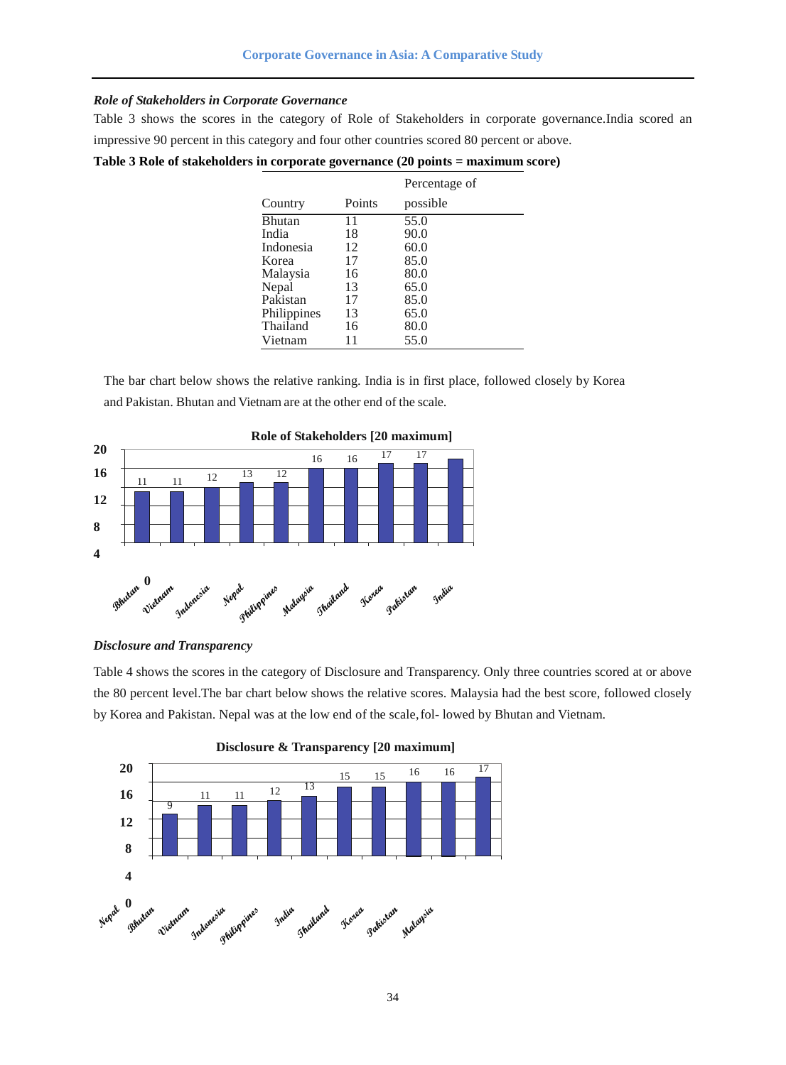## *Role of Stakeholders in Corporate Governance*

Table 3 shows the scores in the category of Role of Stakeholders in corporate governance.India scored an impressive 90 percent in this category and four other countries scored 80 percent or above.

|  |  |  |  |  |  |  | Table 3 Role of stakeholders in corporate governance (20 points = maximum score) |
|--|--|--|--|--|--|--|----------------------------------------------------------------------------------|
|--|--|--|--|--|--|--|----------------------------------------------------------------------------------|

|               |        | Percentage of |
|---------------|--------|---------------|
| Country       | Points | possible      |
| <b>Bhutan</b> | 11     | 55.0          |
| India         | 18     | 90.0          |
| Indonesia     | 12     | 60.0          |
| Korea         | 17     | 85.0          |
| Malaysia      | 16     | 80.0          |
| Nepal         | 13     | 65.0          |
| Pakistan      | 17     | 85.0          |
| Philippines   | 13     | 65.0          |
| Thailand      | 16     | 80.0          |
| Vietnam       | 11     | 55.0          |

The bar chart below shows the relative ranking. India is in first place, followed closely by Korea and Pakistan. Bhutan and Vietnam are at the other end of the scale.



**Role of Stakeholders [20 maximum]**

#### *Disclosure and Transparency*

Table 4 shows the scores in the category of Disclosure and Transparency. Only three countries scored at or above the 80 percent level.The bar chart below shows the relative scores. Malaysia had the best score, followed closely by Korea and Pakistan. Nepal was at the low end of the scale,fol- lowed by Bhutan and Vietnam.



**Disclosure & Transparency [20 maximum]**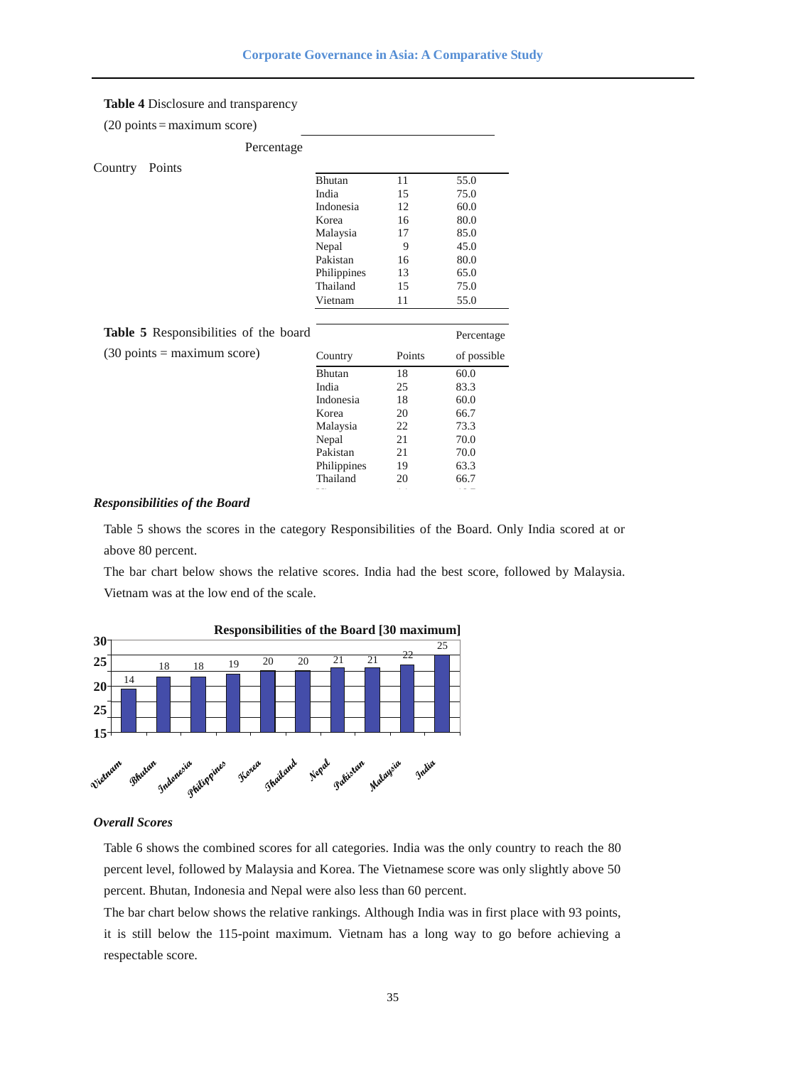# **Table 4** Disclosure and transparency

|  | $(20 \text{ points} = \text{maximum score})$ |  |
|--|----------------------------------------------|--|
|  |                                              |  |

|         | Percentage                                   |               |        |             |
|---------|----------------------------------------------|---------------|--------|-------------|
| Country | Points                                       |               |        |             |
|         |                                              | <b>Bhutan</b> | 11     | 55.0        |
|         |                                              | India         | 15     | 75.0        |
|         |                                              | Indonesia     | 12     | 60.0        |
|         |                                              | Korea         | 16     | 80.0        |
|         |                                              | Malaysia      | 17     | 85.0        |
|         |                                              | Nepal         | 9      | 45.0        |
|         |                                              | Pakistan      | 16     | 80.0        |
|         |                                              | Philippines   | 13     | 65.0        |
|         |                                              | Thailand      | 15     | 75.0        |
|         |                                              | Vietnam       | 11     | 55.0        |
|         |                                              |               |        |             |
|         | Table 5 Responsibilities of the board        |               |        | Percentage  |
|         | $(30 \text{ points} = \text{maximum score})$ | Country       | Points | of possible |
|         |                                              | <b>Bhutan</b> | 18     | 60.0        |
|         |                                              | India         | 25     | 83.3        |
|         |                                              | Indonesia     | 18     | 60.0        |
|         |                                              | Korea         | 20     | 66.7        |
|         |                                              | Malaysia      | 22     | 73.3        |
|         |                                              | Nepal         | 21     | 70.0        |
|         |                                              | Pakistan      | 21     | 70.0        |
|         |                                              | Philippines   | 19     | 63.3        |

# *Responsibilities of the Board*

Table 5 shows the scores in the category Responsibilities of the Board. Only India scored at or above 80 percent.

The bar chart below shows the relative scores. India had the best score, followed by Malaysia. Vietnam was at the low end of the scale.



# *Overall Scores*

Table 6 shows the combined scores for all categories. India was the only country to reach the 80 percent level, followed by Malaysia and Korea. The Vietnamese score was only slightly above 50 percent. Bhutan, Indonesia and Nepal were also less than 60 percent.

The bar chart below shows the relative rankings. Although India was in first place with 93 points, it is still below the 115-point maximum. Vietnam has a long way to go before achieving a respectable score.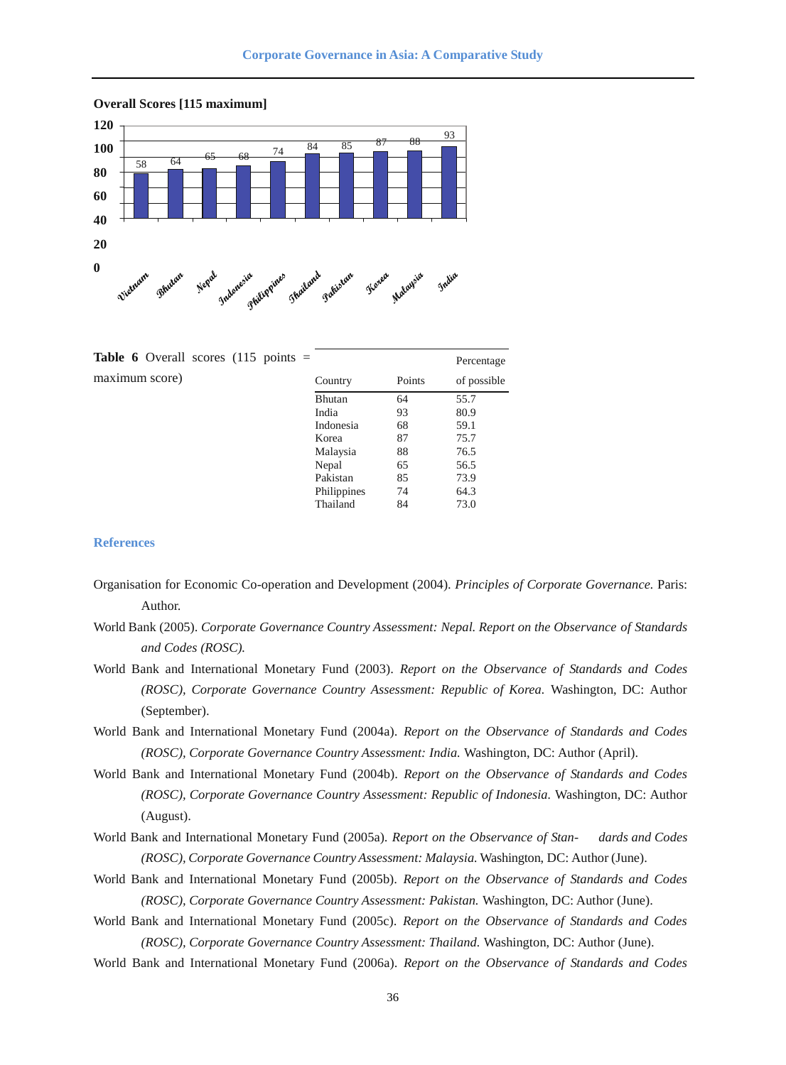



| <b>Table 6</b> Overall scores (115 points $=$ |             |        | Percentage  |
|-----------------------------------------------|-------------|--------|-------------|
| maximum score)                                | Country     | Points | of possible |
|                                               | Bhutan      | 64     | 55.7        |
|                                               | India       | 93     | 80.9        |
|                                               | Indonesia   | 68     | 59.1        |
|                                               | Korea       | 87     | 75.7        |
|                                               | Malaysia    | 88     | 76.5        |
|                                               | Nepal       | 65     | 56.5        |
|                                               | Pakistan    | 85     | 73.9        |
|                                               | Philippines | 74     | 64.3        |
|                                               | Thailand    | 84     | 73.0        |

### **References**

- Organisation for Economic Co-operation and Development (2004). *Principles of Corporate Governance.* Paris: Author.
- World Bank (2005). *Corporate Governance Country Assessment: Nepal. Report on the Observance of Standards and Codes (ROSC).*
- World Bank and International Monetary Fund (2003). *Report on the Observance of Standards and Codes (ROSC), Corporate Governance Country Assessment: Republic of Korea.* Washington, DC: Author (September).
- World Bank and International Monetary Fund (2004a). *Report on the Observance of Standards and Codes (ROSC), Corporate Governance Country Assessment: India.* Washington, DC: Author (April).
- World Bank and International Monetary Fund (2004b). *Report on the Observance of Standards and Codes (ROSC), Corporate Governance Country Assessment: Republic of Indonesia.* Washington, DC: Author (August).
- World Bank and International Monetary Fund (2005a). *Report on the Observance of Stan- dards and Codes (ROSC), Corporate Governance Country Assessment: Malaysia.* Washington, DC: Author (June).
- World Bank and International Monetary Fund (2005b). *Report on the Observance of Standards and Codes (ROSC), Corporate Governance Country Assessment: Pakistan.* Washington, DC: Author (June).
- World Bank and International Monetary Fund (2005c). *Report on the Observance of Standards and Codes (ROSC), Corporate Governance Country Assessment: Thailand.* Washington, DC: Author (June).
- World Bank and International Monetary Fund (2006a). *Report on the Observance of Standards and Codes*